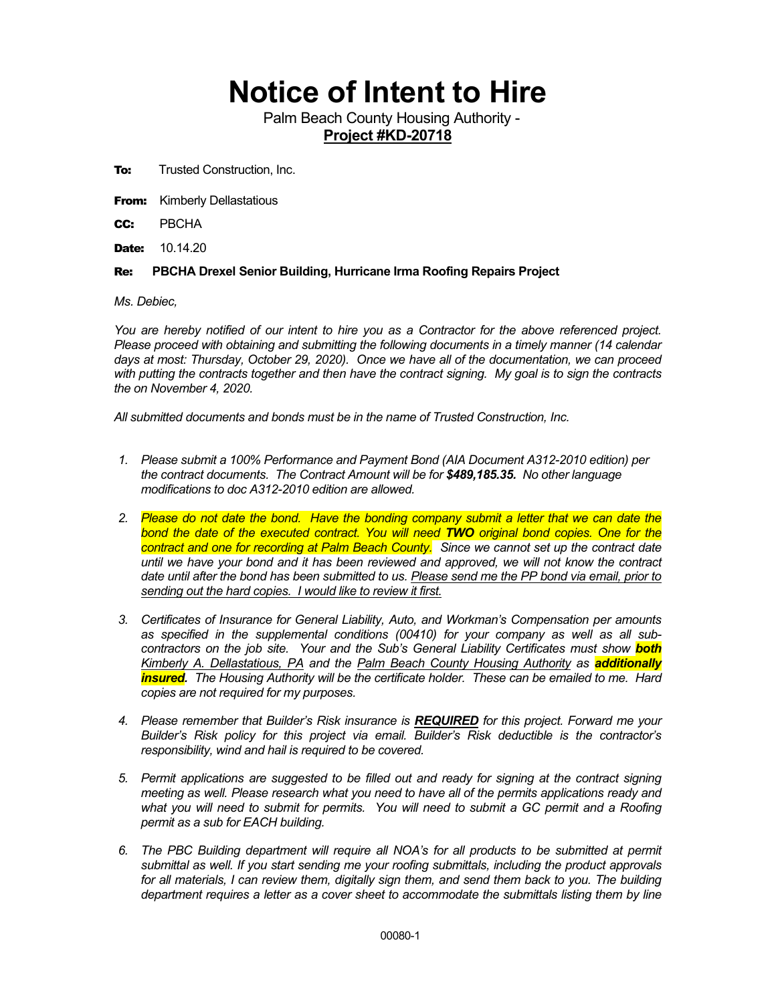## **Notice of Intent to Hire**

Palm Beach County Housing Authority - **Project #KD-20718**

- **To:** Trusted Construction, Inc.
- **From:** Kimberly Dellastatious

CC: PBCHA

**Date:** 10.14.20

## Re: **PBCHA Drexel Senior Building, Hurricane Irma Roofing Repairs Project**

*Ms. Debiec,*

*You are hereby notified of our intent to hire you as a Contractor for the above referenced project. Please proceed with obtaining and submitting the following documents in a timely manner (14 calendar days at most: Thursday, October 29, 2020). Once we have all of the documentation, we can proceed with putting the contracts together and then have the contract signing. My goal is to sign the contracts the on November 4, 2020.*

*All submitted documents and bonds must be in the name of Trusted Construction, Inc.*

- *1. Please submit a 100% Performance and Payment Bond (AIA Document A312-2010 edition) per the contract documents. The Contract Amount will be for \$489,185.35. No other language modifications to doc A312-2010 edition are allowed.*
- *2. Please do not date the bond. Have the bonding company submit a letter that we can date the bond the date of the executed contract. You will need TWO original bond copies. One for the contract and one for recording at Palm Beach County. Since we cannot set up the contract date until we have your bond and it has been reviewed and approved, we will not know the contract date until after the bond has been submitted to us. Please send me the PP bond via email, prior to sending out the hard copies. I would like to review it first.*
- *3. Certificates of Insurance for General Liability, Auto, and Workman's Compensation per amounts as specified in the supplemental conditions (00410) for your company as well as all subcontractors on the job site. Your and the Sub's General Liability Certificates must show both Kimberly A. Dellastatious, PA and the Palm Beach County Housing Authority as additionally insured. The Housing Authority will be the certificate holder. These can be emailed to me. Hard copies are not required for my purposes.*
- *4. Please remember that Builder's Risk insurance is REQUIRED for this project. Forward me your Builder's Risk policy for this project via email. Builder's Risk deductible is the contractor's responsibility, wind and hail is required to be covered.*
- *5. Permit applications are suggested to be filled out and ready for signing at the contract signing meeting as well. Please research what you need to have all of the permits applications ready and what you will need to submit for permits. You will need to submit a GC permit and a Roofing permit as a sub for EACH building.*
- *6. The PBC Building department will require all NOA's for all products to be submitted at permit submittal as well. If you start sending me your roofing submittals, including the product approvals for all materials, I can review them, digitally sign them, and send them back to you. The building department requires a letter as a cover sheet to accommodate the submittals listing them by line*